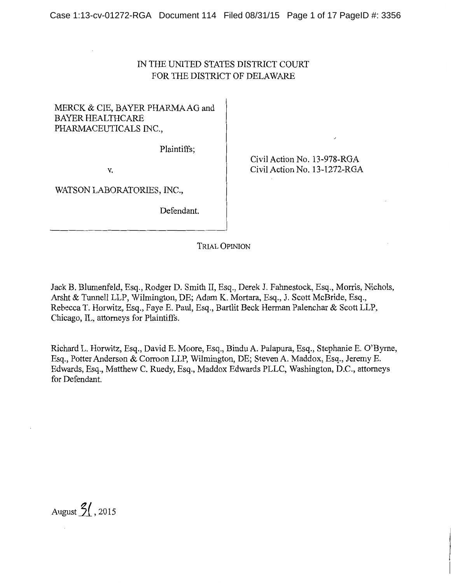# IN THE UNITED STATES DISTRICT COURT FOR THE DISTRICT OF DELAWARE

# MERCK & CIE, BAYER PHARMA AG and BAYER HEALTHCARE PHARMACEUTICALS INC.,

Plaintiffs;

v.

Civil Action No. 13-978-RGA Civil Action No. 13-1272-RGA

WATSON LABORATORIES, INC.,

Defendant.

TRIAL OPINION

Jack B. Blumenfeld, Esq., Rodger D. Smith II, Esq., Derek J. Fahnestock, Esq., Morris, Nichols, Arsht & Tunnell LLP, Wilmington, DE; Adam K. Mortara, Esq., J. Scott McBride, Esq., Rebecca T. Horwitz, Esq., Faye E. Paul, Esq., Bartlit Beck Herman Palenchar & Scott LLP, Chicago, IL, attorneys for Plaintiffs.

Richard L. Horwitz, Esq., David E. Moore, Esq., BinduA. Palapura, Esq., Stephanie E. O'Byrne, Esq., Potter Anderson & Corroon LLP, Wilmington, DE; Steven A. Maddox, Esq., Jeremy E. Edwards, Esq., Matthew C. Ruedy, Esq., Maddox Edwards PLLC, Washington, D.C., attorneys for Defendant.

August  $3/$ , 2015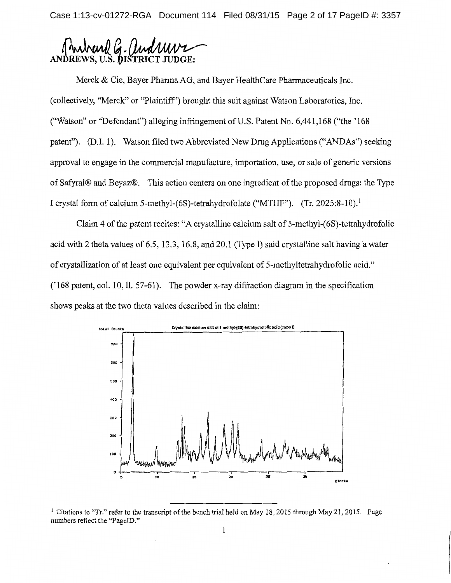Case 1:13-cv-01272-RGA Document 114 Filed 08/31/15 Page 2 of 17 PageID #: 3357



Merck & Cie, Bayer Pharma AG, and Bayer HealthCare Pharmaceuticals Inc. (collectively, "Merck" or "Plaintiff') brought this suit against Watson Laboratories, Inc. ("Watson" or "Defendant") alleging infringement of U.S. Patent No. 6,441,168("the'168 patent"). (D.I. 1). Watson filed two Abbreviated New Drug Applications ("ANDAs") seeking approval to engage in the commercial manufacture, importation, use, or sale of generic versions of Safyral® and Beyaz®. This action centers on one ingredient of the proposed drugs: the Type I crystal form of calcium 5-methyl-(6S)-tetrahydrofolate ("MTHF"). (Tr. 2025:8-10).<sup>1</sup>

Claim 4 of the patent recites: "A crystalline calcium salt of 5-methyl-(6S)-tetrahydrofolic acid with 2 theta values of 6.5, 13.3, 16.8, and 20.1 (Type I) said crystalline salt having a water of crystallization of at least one equivalent per equivalent of 5-methyltetrahydrofolic acid." ('168 patent, col. 10, II. 57-61). The powder x-ray diffraction diagram in the specification shows peaks at the two theta values described in the claim:



<sup>&</sup>lt;sup>1</sup> Citations to "Tr." refer to the transcript of the bench trial held on May 18, 2015 through May 21, 2015. Page numbers reflect the "PagelD."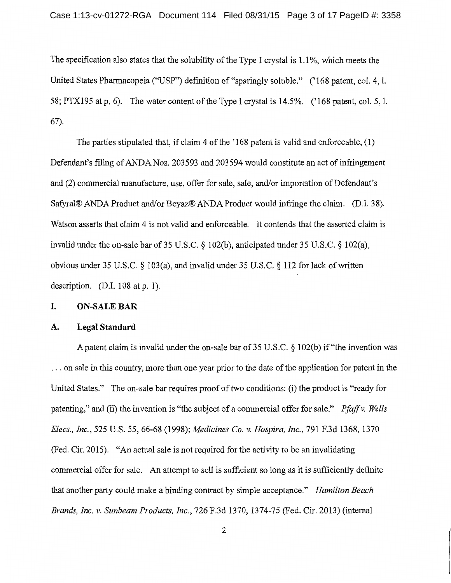The specification also states that the solubility of the Type I crystal is 1.1%, which meets the United States Pharmacopeia ("USP") definition of "sparingly soluble." ('168 patent, col. 4, l. 58; PTXI95 at p. 6). The water content of the Type I crystal is I4.5%. (' I68 patent, col. 5, 1. 67).

The parties stipulated that, if claim 4 of the '168 patent is valid and enforceable, (1) Defendant's filing of ANDA Nos. 203593 and 203594 would constitute an act of infringement and (2) commercial manufacture, use, offer for sale, sale, and/or importation of Defendant's Safyral® ANDA Product and/or Beyaz® ANDA Product would infringe the claim. (D.I. 38). Watson asserts that claim 4 is not valid and enforceable. It contends that the asserted claim is invalid under the on-sale bar of 35 U.S.C. *§* 102(b ), anticipated under 35 U.S.C. *§* 102(a), obvious under 35 U.S.C. *§* 103(a), and invalid under 35 U.S.C. *§* 112 for lack of written description.  $(D.I. 108 at p. 1)$ .

# **I. ON-SALE BAR**

#### **A. Legal Standard**

A patent claim is invalid under the on-sale bar of 35 U.S. C. *§* I 02(b) if "the invention was ... on sale in this country, more than one year prior to the date of the application for patent in the United States." The on-sale bar requires proof of two conditions: (i) the product is "ready for patenting," and (ii) the invention is "the subject of a commercial offer for sale." *Pfaffv. Wells Elecs., Inc.,* 525 U.S. 55, 66-68 (1998); *Medicines Co. v. Hospira, Inc.,* 79I F.3d 1368, 1370 (Fed. Cir. 20I5). "An actual sale is not required for the activity to be an invalidating commercial offer for sale. An attempt to sell is sufficient so long as it is sufficiently definite that another party could make a binding contract by simple acceptance." *Hamilton Beach Brands, Inc. v. Sunbeam Products, Inc.,* 726 F.3d 1370, I374-75 (Fed. Cir. 2013) (internal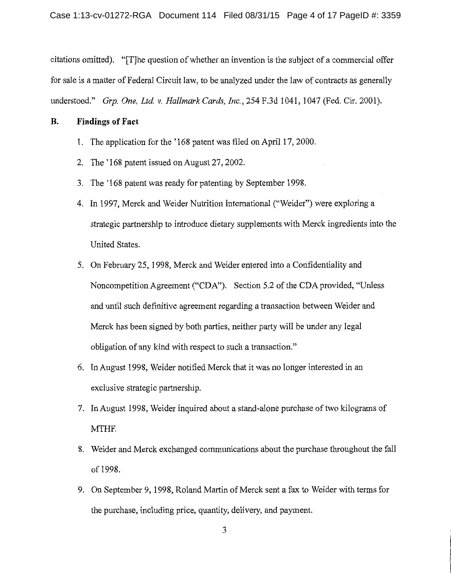citations omitted). "[T]he question of whether an invention is the subject of a commercial offer for sale is a matter of Federal Circuit law, to be analyzed under the law of contracts as generally understood." *Grp. One, Ltd v. Hallmark Cards, Inc.,* 254 F.3d 1041, 1047 (Fed. Cir. 2001).

## **B. Findings of Fact**

- 1. The application for the '168 patent was filed on April 17, 2000.
- 2. The '168 patent issued on August 27, 2002.
- 3. The '168 patent was ready for patenting by September 1998.
- 4. In 1997, Merck and Weider Nutrition International ("Weider") were exploring a strategic partnership to introduce dietary supplements with Merck ingredients into the United States.
- 5. On February 25, 1998, Merck and Weider entered into a Confidentiality and Noncompetition Agreement ("CDA"). Section 5 .2 of the CDA provided, "Unless and until such definitive agreement regarding a transaction between Weider and Merck has been signed by both parties, neither party will be under any legal obligation of any kind with respect to such a transaction."
- 6. In August 1998, Weider notified Merck that it was no longer interested in an exclusive strategic partnership.
- 7. In August 1998, Weider inquired about a stand-alone purchase of two kilograms of MTHF.
- 8. Weider and Merck exchanged communications about the purchase throughout the fall of 1998.
- 9. On September 9, 1998, Roland Martin of Merck sent a fax to Weider with terms for the purchase, including price, quantity, delivery, and payment.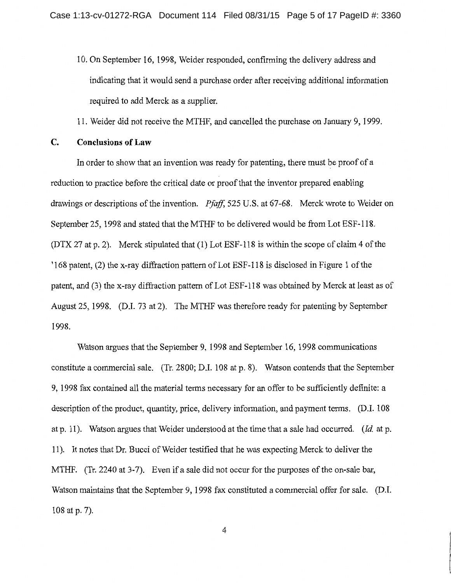10. On September 16, 1998, Weider responded, confirming the delivery address and indicating that it would send a purchase order after receiving additional information required to add Merck as a supplier.

11. Weider did not receive the MTHF, and cancelled the purchase on January 9, 1999.

### **C. Conclusions of Law**

In order to show that an invention was ready for patenting, there must be proof of a reduction to practice before the critical date or proof that the inventor prepared enabling drawings or descriptions of the invention. *Pfaff,* 525 U.S. at 67-68. Merck wrote to Weider on September 25, 1998 and stated that the MTHF to be delivered would be from Lot ESF-118. (DTX 27 at p. 2). Merck stipulated that (1) Lot ESF-118 is within the scope of claim 4 of the '168 patent, (2) the x-ray diffraction pattern of Lot ESF-118 is disclosed in Figure 1 of the patent, and (3) the x-ray diffraction pattern of Lot ESF-118 was obtained by Merck at least as of August 25, 1998. (D.1. 73 at 2). The MTHF was therefore ready for patenting by September 1998.

Watson argues that the September 9, 1998 and September 16, 1998 communications constitute a commercial sale. (Tr. 2800; D.I. 108 at p. 8). Watson contends that the September 9, 1998 fax contained all the material terms necessary for an offer to be sufficiently definite: a description of the product, quantity, price, delivery information, and payment terms. (D.I. 108 at p. 11 ). Watson argues that Weider understood at the time that a sale had occurred. *(Id* at p. 11 ). It notes that Dr. Bucci of Weider testified that he was expecting Merck to deliver the MTHF. (Tr. 2240 at 3-7). Even if a sale did not occur for the purposes of the on-sale bar, Watson maintains that the September 9, 1998 fax constituted a commercial offer for sale. (D.I. 108 at p. 7).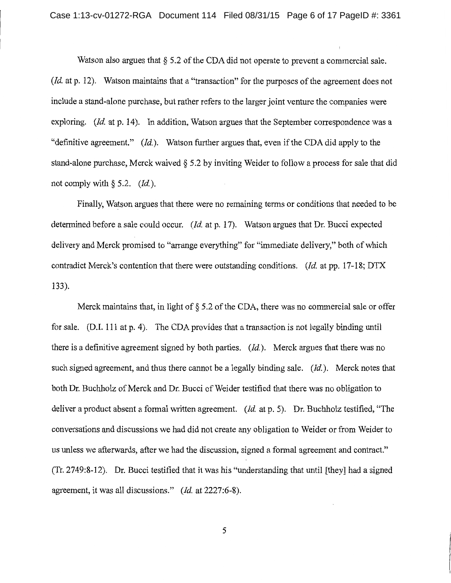Watson also argues that § 5.2 of the CDA did not operate to prevent a commercial sale. *(Id. at p. 12).* Watson maintains that a "transaction" for the purposes of the agreement does not include a stand-alone purchase, but rather refers to the larger joint venture the companies were exploring. *(Id.* at p. 14). In addition, Watson argues that the September correspondence was a "definitive agreement." *(Id).* Watson further argues that, even if the CDA did apply to the stand-alone purchase, Merck waived *§* 5 .2 by inviting Weider to follow a process for sale that did not comply with  $\S$  5.2. *(Id.)*.

Finally, Watson argues that there were no remaining terms or conditions that needed to be determined before a sale could occur. *(Id. at p. 17).* Watson argues that Dr. Bucci expected delivery and Merck promised to "arrange everything" for "immediate delivery," both of which contradict Merck's contention that there were outstanding conditions. *(Id.* at pp. 17-18; DTX 133).

Merck maintains that, in light of  $\S$  5.2 of the CDA, there was no commercial sale or offer for sale. (D.1. 111 at p. 4). The CDA provides that a transaction is not legally binding until there is a definitive agreement signed by both parties. *(Id).* Merck argues that there was no such signed agreement, and thus there cannot be a legally binding sale. *(Id.).* Merck notes that both Dr. Buchholz of Merck and Dr. Bucci of Weider testified that there was no obligation to deliver a product absent a formal written agreement. *(Id.* at p. 5). Dr. Buchholz testified, "The conversations and discussions we had did not create any obligation to Weider or from Weider to us unless we afterwards, after we had the discussion, signed a formal agreement and contract." (Tr. 2749:8-12). Dr. Bucci testified that it was his "understanding that until [they] had a signed agreement, it was all discussions." *(Id* at 2227:6-8).

5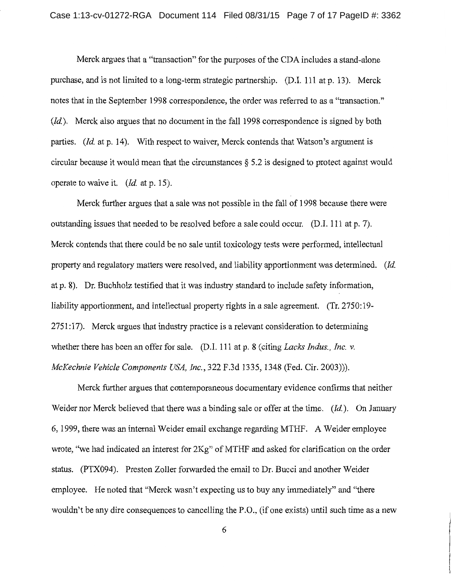Merck argues that a "transaction" for the purposes of the CDA includes a stand-alone purchase, and is not limited to a long-term strategic partnership. (D.I. 111 at p. 13). Merck notes that in the September 1998 correspondence, the order was referred to as a "transaction." *(Id).* Merck also argues that no document in the fall 1998 correspondence is signed by both parties. *(Id. at p. 14).* With respect to waiver, Merck contends that Watson's argument is circular because it would mean that the circumstances  $\S 5.2$  is designed to protect against would operate to waive it. *(Id.* at p. 15).

Merck further argues that a sale was not possible in the fall of 1998 because there were outstanding issues that needed to be resolved before a sale could occur. (D.I. 111 at p. 7). Merck contends that there could be no sale until toxicology tests were performed, intellectual property and regulatory matters were resolved, and liability apportionment was determined. *(Id.*  at p. 8). Dr. Buchholz testified that it was industry standard to include safety information, liability apportionment, and intellectual property rights in a sale agreement. (Tr. 2750:19-2751:17). Merck argues that industry practice is a relevant consideration to determining whether there has been an offer for sale. (D.I. 111 at p. 8 (citing *Lacks Indus., Inc. v. McKechnie Vehicle Components USA, Inc.,* 322 F.3d 1335, 1348 (Fed. Cir. 2003))).

Merck further argues that contemporaneous documentary evidence confirms that neither Weider nor Merck believed that there was a binding sale or offer at the time. *(Id.).* On January 6, 1999, there was an internal Weider email exchange regarding MTHF. A Weider employee wrote, "we had indicated an interest for 2Kg" of MTHF and asked for clarification on the order status. (PTX094). Preston Zoller forwarded the email to Dr. Bucci and another Weider employee. He noted that "Merck wasn't expecting us to buy any immediately" and "there wouldn't be any dire consequences to cancelling the P.O., (if one exists) until such time as a new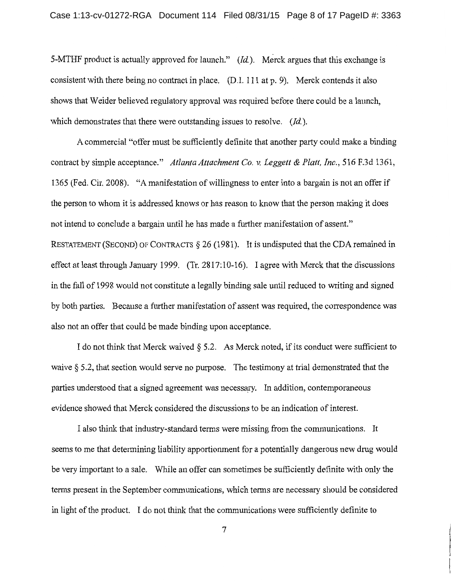5-MTHF product is actually approved for launch." *(Id).* Merck argues that this exchange is consistent with there being no contract in place. (D.I. 111 at p. 9). Merck contends it also shows that Weider believed regulatory approval was required before there could be a launch, which demonstrates that there were outstanding issues to resolve. *(Id).* 

A commercial "offer must be sufficiently definite that another party could make a binding contract by simple acceptance." *Atlanta Attachment Co. v. Leggett* & *Platt, Inc.,* 516 F.3d 1361, 1365 (Fed. Cir. 2008). "A manifestation of willingness to enter into a bargain is not an offer if the person to whom it is addressed knows or has reason to know that the person making it does not intend to conclude a bargain until he has made a further manifestation of assent." RESTATEMENT (SECOND) OF CONTRACTS  $\S$  26 (1981). It is undisputed that the CDA remained in effect at least through January 1999. (Tr. 2817: 10-16). I agree with Merck that the discussions in the fall of 1998 would not constitute a legally binding sale until reduced to writing and signed by both parties. Because a further manifestation of assent was required, the correspondence was also not an offer that could be made binding upon acceptance.

I do not think that Merck waived  $\S$  5.2. As Merck noted, if its conduct were sufficient to waive § 5.2, that section would serve no purpose. The testimony at trial demonstrated that the parties understood that a signed agreement was necessary. In addition, contemporaneous evidence showed that Merck considered the discussions to be an indication of interest.

I also think that industry-standard terms were missing from the communications. It seems to me that determining liability apportionment for a potentially dangerous new drug would be very important to a sale. While an offer can sometimes be sufficiently definite with only the terms present in the September communications, which terms are necessary should be considered in light of the product. I do not think that the communications were sufficiently definite to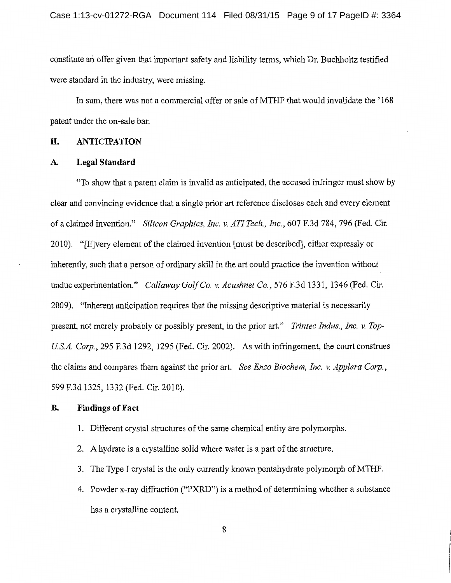constitute an offer given that important safety and liability terms, which Dr. Buchholtz testified were standard in the industry, were missing.

In sum, there was not a commercial offer or sale of MTHF that would invalidate the '168 patent under the on-sale bar.

## **II. ANTICIPATION**

#### **A. Legal Standard**

"To show that a patent claim is invalid as anticipated, the accused infringer must show by clear and convincing evidence that a single prior art reference discloses each and every element of a claimed invention." *Silicon Graphics, Inc. v. AT! Tech., Inc.,* 607 F.3d 784, 796 (Fed. Cir. 2010). "[E]very element of the claimed invention [must be described], either expressly or inherently, such that a person of ordinary skill in the art could practice the invention without undue experimentation." *Callaway Golf Co. v. Acushnet Co.,* 576 F.3d 1331, 1346 (Fed. Cir. 2009). "Inherent anticipation requires that the missing descriptive material is necessarily present, not merely probably or possibly present, in the prior art." *Trintec Indus., Inc. v. Top-USA. Corp.,* 295 F.3d 1292, 1295 (Fed. Cir. 2002). As with infringement, the court construes the claims and compares them against the prior art. *See Enzo Biochem, Inc. v. Applera Corp.,*  599 F.3d 1325, 1332 (Fed. Cir. 2010).

#### **B. Findings of Fact**

- 1. Different crystal structures of the same chemical entity are polymorphs.
- 2. A hydrate is a crystalline solid where water is a part of the structure.
- 3. The Type I crystal is the only currently known pentahydrate polymorph of MTHF.
- 4. Powder x-ray diffraction ("PXRD") is a method of determining whether a substance has a crystalline content.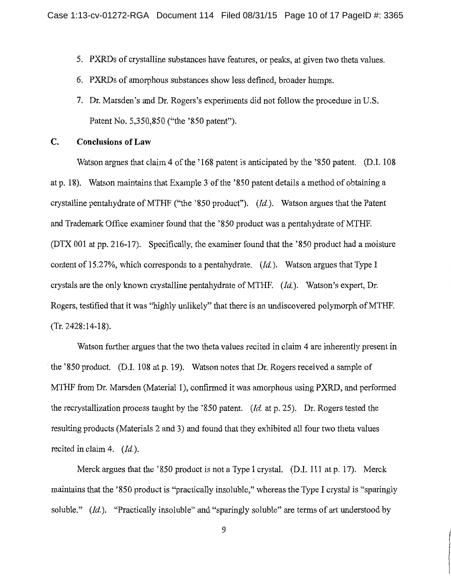- 5. PXRDs of crystalline substances have features, or peaks, at given two theta values.
- 6. PXRDs of amorphous substances show less defined, broader humps.
- 7. Dr. Marsden's and Dr. Rogers's experiments did not follow the procedure in U.S. Patent No. 5,350,850 ("the '850 patent").

### **C. Conclusions of Law**

Watson argues that claim 4 of the '168 patent is anticipated by the '850 patent. (D.I. 108 at p. 18). Watson maintains that Example 3 of the '850 patent details a method of obtaining a crystalline pentahydrate ofMTHF ("the '850 product"). *(Id).* Watson argues that the Patent and Trademark Office examiner found that the '850 product was a pentahydrate of MTHF. (DTX 001 at pp. 216-17). Specifically, the examiner found that the '850 product had a moisture content of 15.27%, which corresponds to a pentahydrate. *(Id).* Watson argues that Type I crystals are the only known crystalline pentahydrate of MTHF. *(Id).* Watson's expert, Dr. Rogers, testified that it was "highly unlikely" that there is an undiscovered polymorph of MTHF. (Tr. 2428:14-18).

Watson further argues that the two theta values recited in claim 4 are inherently present in the '850 product. (D.I. 108 at p. 19). Watson notes that Dr. Rogers received a sample of MTHF from Dr. Marsden (Material 1), confirmed it was amorphous using PXRD, and performed the recrystallization process taught by the '850 patent. *(Id* at p. 25). Dr. Rogers tested the resulting products (Materials 2 and 3) and found that they exhibited all four two theta values recited in claim 4. *(Id).* 

Merck argues that the '850 product is not a Type I crystal. (D.I. 111 at p. 17). Merck maintains that the '850 product is "practically insoluble," whereas the Type I crystal is "sparingly soluble." *(Id.).* "Practically insoluble" and "sparingly soluble" are terms of art understood by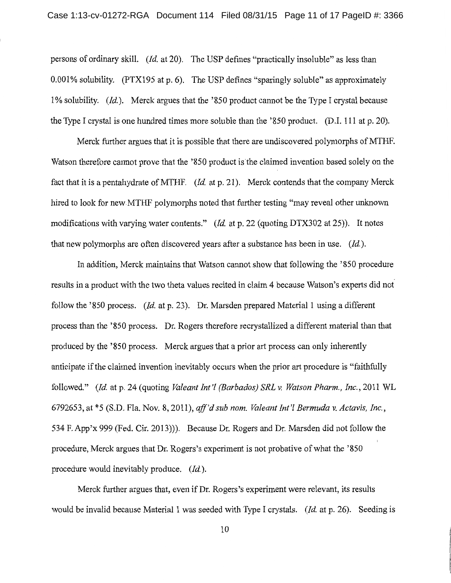persons of ordinary skill. *(Id.* at 20). The USP defines "practically insoluble" as less than 0.001% solubility. (PTX195 at p. 6). The USP defines "sparingly soluble" as approximately 1% solubility. (Id.). Merck argues that the '850 product cannot be the Type I crystal because the Type I crystal is one hundred times more soluble than the '850 product. (D.I. 111 at p. 20).

Merck further argues that it is possible that there are undiscovered polymorphs of MTHF. Watson therefore cannot prove that the '850 product is the claimed invention based solely on the fact that it is a pentahydrate of MTHF. *(Id.* at p. 21). Merck contends that the company Merck hired to look for new MTHF polymorphs noted that further testing "may reveal other unknown modifications with varying water contents." *(Id.* at p. 22 (quoting DTX302 at 25)). It notes that new polymorphs are often discovered years after a substance has been in use.  $(Id.)$ .

In addition, Merck maintains that Watson cannot show that following the '850 procedure results in a product with the two theta values recited in claim 4 because Watson's experts did not follow the '850 process. *(Id.* at p. 23). Dr. Marsden prepared Material 1 using a different process than the '850 process. Dr. Rogers therefore recrystallized a different material than that produced by the '850 process. Merck argues that a prior art process can only inherently anticipate if the claimed invention inevitably occurs when the prior art procedure is "faithfully followed." *(Id.* at p. 24 (quoting *Valeant Int'! (Barbados) SRL v. Watson Pharm., Inc.,* 2011 WL 6792653, at \*5 (S.D. Fla. Nov. 8, 2011), *aff'd sub nom. Valeant Int'! Bermuda v. Actavis, Inc.,*  534 F. App'x 999 (Fed. Cir. 2013))). Because Dr. Rogers and Dr. Marsden did not follow the procedure, Merck argues that Dr. Rogers's experiment is not probative of what the '850 procedure would inevitably produce. (Id.).

Merck further argues that, even if Dr. Rogers's experiment were relevant, its results would be invalid because Material 1 was seeded with Type I crystals. *(Id.* at p. 26). Seeding is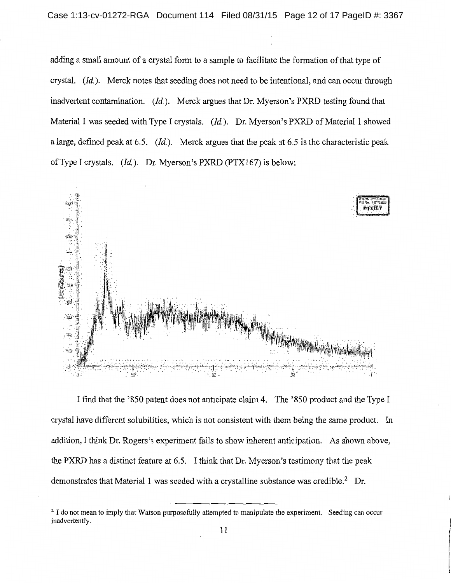adding a small amount of a crystal form to a sample to facilitate the formation of that type of crystal. *(Id).* Merck notes that seeding does not need to be intentional, and can occur through inadvertent contamination. *(Id).* Merck argues that Dr. Myerson's PXRD testing found that Material I was seeded with Type I crystals. *(Id).* Dr. Myerson's PXRD of Material I showed a large, defined peak at6.5. *(Id).* Merck argues that the peak at 6.5 is the characteristic peak ofType I crystals. *(Id).* Dr. Myerson's PXRD (PTX167) is below:



I find that the '850 patent does not anticipate claim 4. The '850 product and the Type I crystal have different solubilities, which is not consistent with them being the same product. In addition, I think Dr. Rogers's experiment fails to show inherent anticipation. As shown above, the PXRD has a distinct feature at 6.5. I think that Dr. Myerson's testimony that the peak demonstrates that Material 1 was seeded with a crystalline substance was credible.<sup>2</sup> Dr.

<sup>&</sup>lt;sup>2</sup> I do not mean to imply that Watson purposefully attempted to manipulate the experiment. Seeding can occur inadvertently.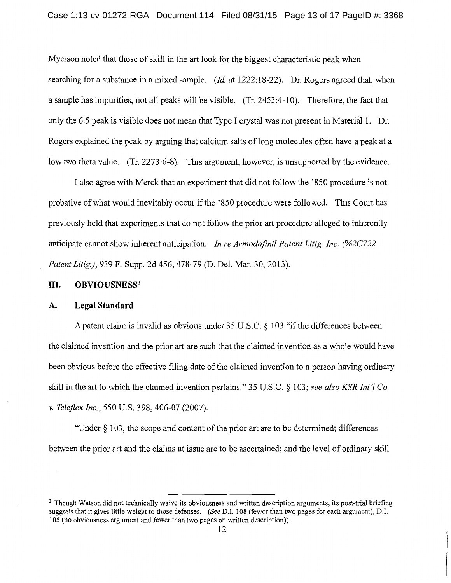Myerson noted that those of skill in the art look for the biggest characteristic peak when searching for a substance in a mixed sample. *(Id* at 1222: 18-22). Dr. Rogers agreed that, when a sample has impurities, not all peaks will be visible. (Tr. 2453 :4-10). Therefore, the fact that only the 6.5 peak is visible does not mean that Type I crystal was not present in Material 1. Dr. Rogers explained the peak by arguing that calcium salts of long molecules often have a peak at a low two theta value. (Tr. 2273:6-8). This argument, however, is unsupported by the evidence.

I also agree with Merck that an experiment that did not follow the '850 procedure is not probative of what would inevitably occur if the '850 procedure were followed. This Court has previously held that experiments that do not follow the prior art procedure alleged to inherently anticipate cannot show inherent anticipation. *In re Armodafinil Patent Litig. Inc. (%2C722 Patent Litig.),* 939 F. Supp. 2d 456, 478-79 (D. Del. Mar. 30, 2013).

## **III. OBVIOUSNESS3**

#### A. **Legal Standard**

A patent claim is invalid as obvious under  $35 \text{ U.S.C.}$  §  $103 \text{ "if the differences between}$ the claimed invention and the prior art are such that the claimed invention as a whole would have been obvious before the effective filing date of the claimed invention to a person having ordinary skill in the art to which the claimed invention pertains." 35 U.S.C. § 103; *see also KSR Int'l Co. v. Teleflex Inc.,* 550 U.S. 398, 406-07 (2007).

"Under§ 103, the scope and content of the prior art are to be determined; differences between the prior art and the claims at issue are to be ascertained; and the level of ordinary skill

<sup>&</sup>lt;sup>3</sup> Though Watson did not technically waive its obviousness and written description arguments, its post-trial briefing suggests that it gives little weight to those defenses. *(See* D.I. 108 (fewer than two pages for each argument), D.I. 105 (no obviousness argument and fewer than two pages on written description)).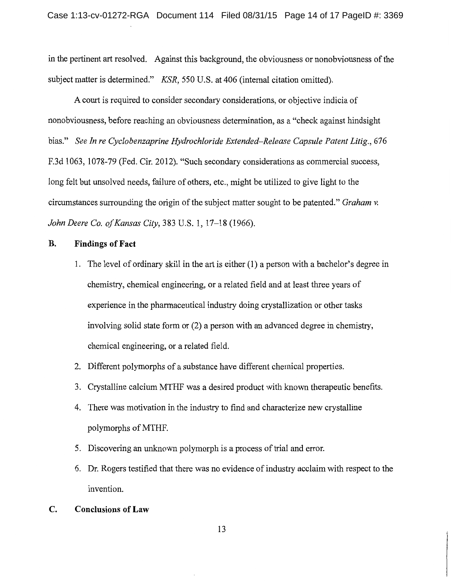in the pertinent art resolved. Against this background, the obviousness or nonobviousness of the subject matter is determined." *KSR,* 550 U.S. at 406 (internal citation omitted).

A court is required to consider secondary considerations, or objective indicia of nonobviousness, before reaching an obviousness determination, as a "check against hindsight bias." *See In re Cyclobenzaprine Hydrochloride Extended–Release Capsule Patent Litig.*, 676 F.3d 1063, 1078-79 (Fed. Cir. 2012). "Such secondary considerations as commercial success, long felt but unsolved needs, failure of others, etc., might be utilized to give light to the circumstances surrounding the origin of the subject matter sought to be patented." *Graham v. John Deere Co. of Kansas City,* 383 U.S. 1, 17-18 (1966).

## **B. Findings of Fact**

- 1. The level of ordinary skill in the art is either ( 1) a person with a bachelor's degree in chemistry, chemical engineering, or a related field and at least three years of experience in the pharmaceutical industry doing crystallization or other tasks involving solid state form or (2) a person with an advanced degree in chemistry, chemical engineering, or a related field.
- 2. Different polymorphs of a substance have different chemical properties.
- 3. Crystalline calcium MTHF was a desired product with known therapeutic benefits.
- 4. There was motivation in the industry to find and characterize new crystalline polymorphs of MTHF.
- 5. Discovering an unknown polymorph is a process of trial and error.
- 6. Dr. Rogers testified that there was no evidence of industry acclaim with respect to the invention.

## **C. Conclusions of Law**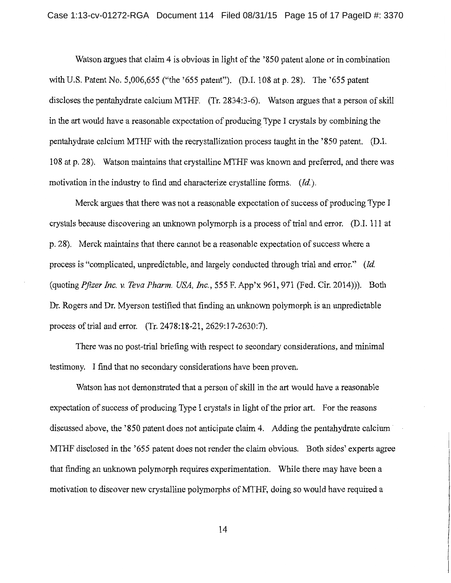Watson argues that claim 4 is obvious in light of the '850 patent alone or in combination with U.S. Patent No. 5,006,655 ("the '655 patent"). (D.I. 108 at p. 28). The '655 patent discloses the pentahydrate calcium MTHF. (Tr. 2834:3-6). Watson argues that a person of skill in the art would have a reasonable expectation of producing Type I crystals by combining the pentahydrate calcium MTHF with the recrystallization process taught in the '850 patent. (D.I. 108 at p. 28). Watson maintains that crystalline MTHF was known and preferred, and there was motivation in the industry to find and characterize crystalline forms. *(Id).* 

Merck argues that there was not a reasonable expectation of success of producing Type I crystals because discovering an unknown polymorph is a process of trial and error. (D.I. 111 at p. 28). Merck maintains that there cannot be a reasonable expectation of success where a process is "complicated, unpredictable, and largely conducted through trial and error." *(Id*  (quoting *Pfizer Inc. v. Teva Pharm. USA, Inc.,* 555 F. App'x 961, 971 (Fed. Cir. 2014))). Both Dr. Rogers and Dr. Myerson testified that finding an unknown polymorph is an unpredictable process of trial and error. (Tr. 2478:18-21, 2629:17-2630:7).

There was no post-trial briefing with respect to secondary considerations, and minimal testimony. I find that no secondary considerations have been proven.

Watson has not demonstrated that a person of skill in the art would have a reasonable expectation of success of producing Type I crystals in light of the prior art. For the reasons discussed above, the '850 patent does not anticipate claim 4. Adding the pentahydrate calcium· MTHF disclosed in the '655 patent does not render the claim obvious. Both sides' experts agree that finding an unknown polymorph requires experimentation. While there may have been a motivation to discover new crystalline polymorphs of MTHF, doing so would have required a

14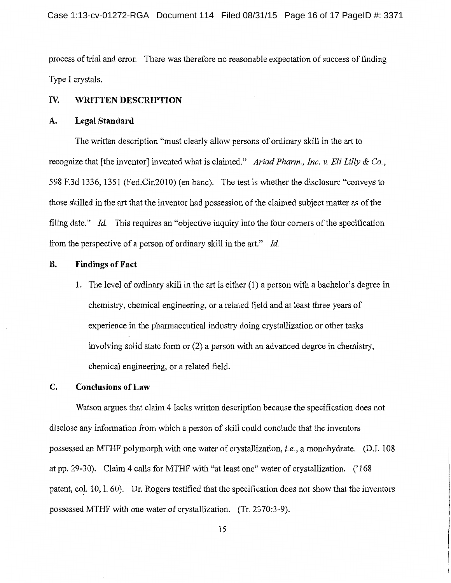process of trial and error. There was therefore no reasonable expectation of success of finding Type I crystals.

### Iv. **WRITTEN DESCRIPTION**

#### **A. Legal Standard**

The written description "must clearly allow persons of ordinary skill in the art to recognize that [the inventor] invented what is claimed." *Ariad Pharm., Inc. v. Eli Lilly* & *Co.,*  598 F.3d 1336, 1351 (Fed.Cir.2010) (en bane). The test is whether the disclosure "conveys to those skilled in the art that the inventor had possession of the claimed subject matter as of the filing date." *Id.* This requires an "objective inquiry into the four comers of the specification from the perspective of a person of ordinary skill in the art." *Id.* 

## **B. Findings of Fact**

1. The level of ordinary skill in the art is either (1) a person with a bachelor's degree in chemistry, chemical engineering, or a related field and at least three years of experience in the pharmaceutical industry doing crystallization or other tasks involving solid state form or (2) a person with an advanced degree in chemistry, chemical engineering, or a related field.

### **C. Conclusions of Law**

Watson argues that claim 4 lacks written description because the specification does not disclose any information from which a person of skill could conclude that the inventors possessed an MTHF polymorph with one water of crystallization, *i.e.,* a monohydrate. (D.I. 108 at pp. 29-30). Claim 4 calls for MTHF with "at least one" water of crystallization. (' 168 patent, col. 10, l. 60). Dr. Rogers testified that the specification does not show that the inventors possessed MTHF with one water of crystallization. (Tr. 2370:3-9).